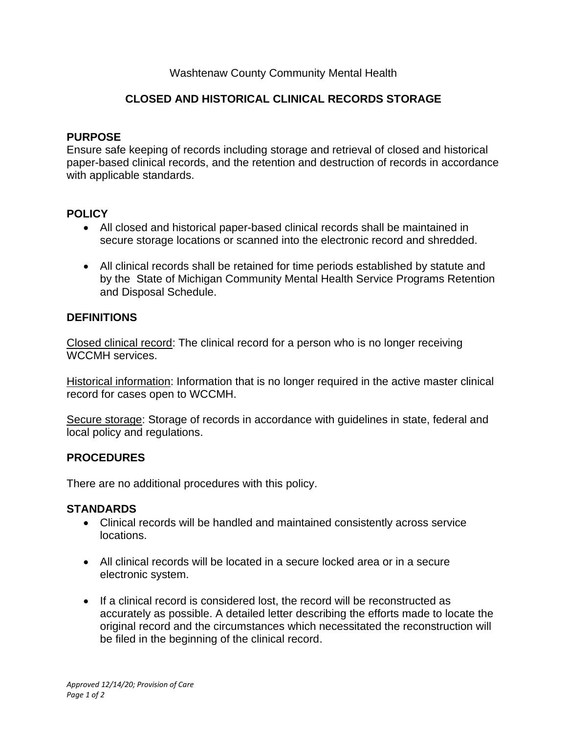## Washtenaw County Community Mental Health

# **CLOSED AND HISTORICAL CLINICAL RECORDS STORAGE**

#### **PURPOSE**

Ensure safe keeping of records including storage and retrieval of closed and historical paper-based clinical records, and the retention and destruction of records in accordance with applicable standards.

### **POLICY**

- All closed and historical paper-based clinical records shall be maintained in secure storage locations or scanned into the electronic record and shredded.
- All clinical records shall be retained for time periods established by statute and by the State of Michigan Community Mental Health Service Programs Retention and Disposal Schedule.

### **DEFINITIONS**

Closed clinical record: The clinical record for a person who is no longer receiving WCCMH services.

Historical information: Information that is no longer required in the active master clinical record for cases open to WCCMH.

Secure storage: Storage of records in accordance with guidelines in state, federal and local policy and regulations.

### **PROCEDURES**

There are no additional procedures with this policy.

### **STANDARDS**

- Clinical records will be handled and maintained consistently across service locations.
- All clinical records will be located in a secure locked area or in a secure electronic system.
- If a clinical record is considered lost, the record will be reconstructed as accurately as possible. A detailed letter describing the efforts made to locate the original record and the circumstances which necessitated the reconstruction will be filed in the beginning of the clinical record.